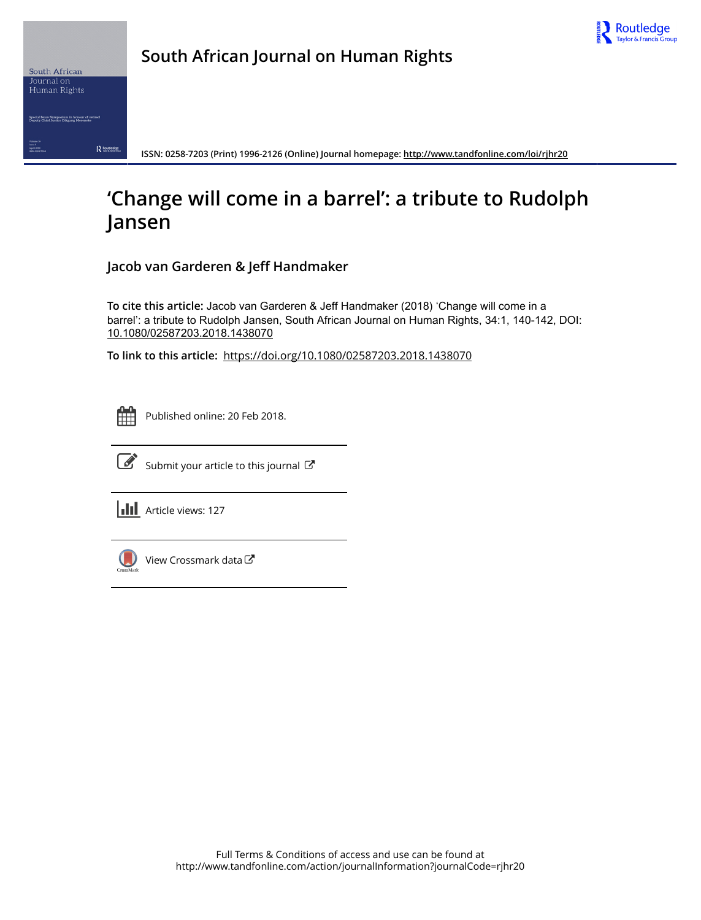



**South African Journal on Human Rights**

**ISSN: 0258-7203 (Print) 1996-2126 (Online) Journal homepage:<http://www.tandfonline.com/loi/rjhr20>**

## **'Change will come in a barrel': a tribute to Rudolph Jansen**

**Jacob van Garderen & Jeff Handmaker**

**To cite this article:** Jacob van Garderen & Jeff Handmaker (2018) 'Change will come in a barrel': a tribute to Rudolph Jansen, South African Journal on Human Rights, 34:1, 140-142, DOI: [10.1080/02587203.2018.1438070](http://www.tandfonline.com/action/showCitFormats?doi=10.1080/02587203.2018.1438070)

**To link to this article:** <https://doi.org/10.1080/02587203.2018.1438070>

|  | - |  |
|--|---|--|
|  |   |  |
|  |   |  |
|  |   |  |

Published online: 20 Feb 2018.



 $\overrightarrow{S}$  [Submit your article to this journal](http://www.tandfonline.com/action/authorSubmission?journalCode=rjhr20&show=instructions)  $\overrightarrow{S}$ 

**III** Article views: 127



[View Crossmark data](http://crossmark.crossref.org/dialog/?doi=10.1080/02587203.2018.1438070&domain=pdf&date_stamp=2018-02-20) $\mathbb{Z}$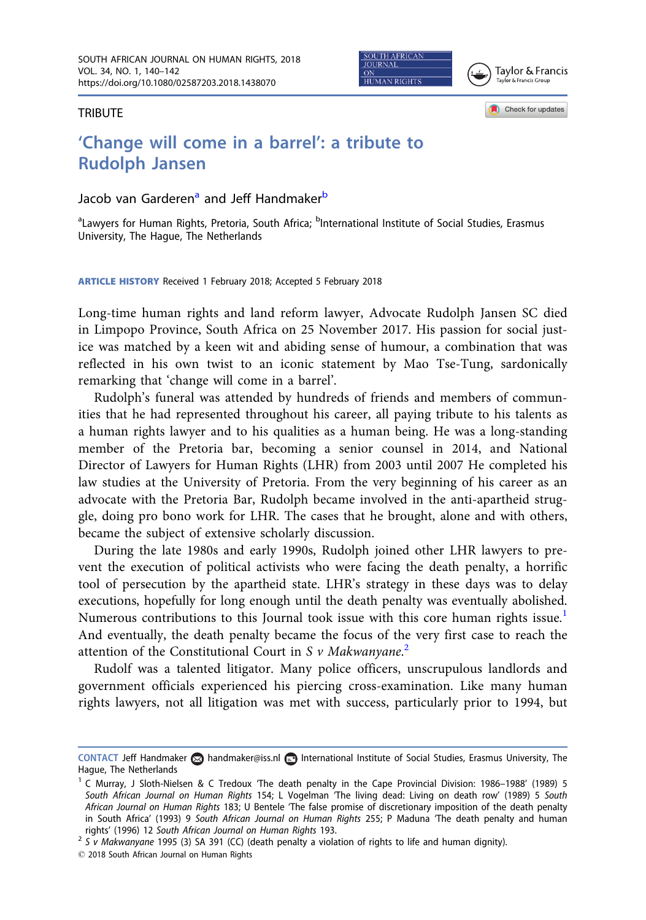**JOURNAL HUMAN RIGHTS** 

Tavlor & Francis Tavlor & Francis Group

Check for updates

**TRIBUTE** 

## 'Change will come in a barrel': a tribute to Rudolph Jansen

## Jacob van Garderen<sup>a</sup> and Jeff Handmaker<sup>b</sup>

<sup>a</sup>Lawyers for Human Rights, Pretoria, South Africa; <sup>b</sup>International Institute of Social Studies, Erasmus University, The Hague, The Netherlands

ARTICLE HISTORY Received 1 February 2018; Accepted 5 February 2018

Long-time human rights and land reform lawyer, Advocate Rudolph Jansen SC died in Limpopo Province, South Africa on 25 November 2017. His passion for social justice was matched by a keen wit and abiding sense of humour, a combination that was reflected in his own twist to an iconic statement by Mao Tse-Tung, sardonically remarking that 'change will come in a barrel'.

Rudolph's funeral was attended by hundreds of friends and members of communities that he had represented throughout his career, all paying tribute to his talents as a human rights lawyer and to his qualities as a human being. He was a long-standing member of the Pretoria bar, becoming a senior counsel in 2014, and National Director of Lawyers for Human Rights (LHR) from 2003 until 2007 He completed his law studies at the University of Pretoria. From the very beginning of his career as an advocate with the Pretoria Bar, Rudolph became involved in the anti-apartheid struggle, doing pro bono work for LHR. The cases that he brought, alone and with others, became the subject of extensive scholarly discussion.

During the late 1980s and early 1990s, Rudolph joined other LHR lawyers to prevent the execution of political activists who were facing the death penalty, a horrific tool of persecution by the apartheid state. LHR's strategy in these days was to delay executions, hopefully for long enough until the death penalty was eventually abolished. Numerous contributions to this Journal took issue with this core human rights issue.<sup>1</sup> And eventually, the death penalty became the focus of the very first case to reach the attention of the Constitutional Court in S  $\nu$  Makwanyane.<sup>2</sup>

Rudolf was a talented litigator. Many police officers, unscrupulous landlords and government officials experienced his piercing cross-examination. Like many human rights lawyers, not all litigation was met with success, particularly prior to 1994, but

rights' (1996) 12 South African Journal on Human Rights 193.<br><sup>2</sup> S v Makwanyane 1995 (3) SA 391 (CC) (death penalty a violation of rights to life and human dignity).

2018 South African Journal on Human Rights

CONTACT Jeff Handmaker and handmaker@iss.nl **International Institute of Social Studies**, Erasmus University, The Hague, The Netherlands

<sup>&</sup>lt;sup>1</sup> C Murray, J Sloth-Nielsen & C Tredoux 'The death penalty in the Cape Provincial Division: 1986–1988' (1989) 5 South African Journal on Human Rights 154; L Vogelman 'The living dead: Living on death row' (1989) 5 South African Journal on Human Rights 183; U Bentele 'The false promise of discretionary imposition of the death penalty in South Africa' (1993) 9 South African Journal on Human Rights 255; P Maduna 'The death penalty and human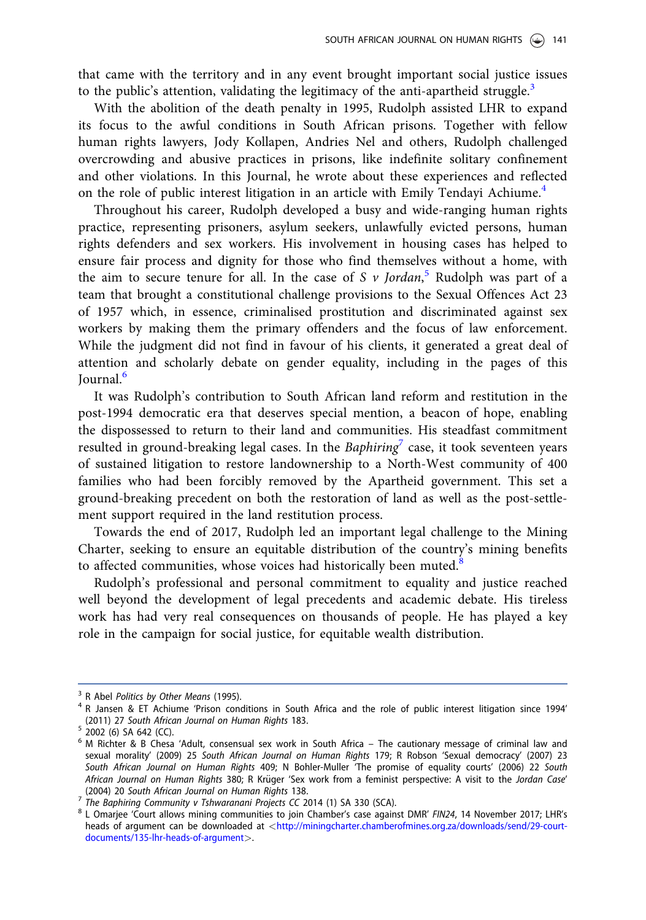that came with the territory and in any event brought important social justice issues to the public's attention, validating the legitimacy of the anti-apartheid struggle.<sup>3</sup>

With the abolition of the death penalty in 1995, Rudolph assisted LHR to expand its focus to the awful conditions in South African prisons. Together with fellow human rights lawyers, Jody Kollapen, Andries Nel and others, Rudolph challenged overcrowding and abusive practices in prisons, like indefinite solitary confinement and other violations. In this Journal, he wrote about these experiences and reflected on the role of public interest litigation in an article with Emily Tendayi Achiume.<sup>4</sup>

Throughout his career, Rudolph developed a busy and wide-ranging human rights practice, representing prisoners, asylum seekers, unlawfully evicted persons, human rights defenders and sex workers. His involvement in housing cases has helped to ensure fair process and dignity for those who find themselves without a home, with the aim to secure tenure for all. In the case of S  $\nu$  Jordan,<sup>5</sup> Rudolph was part of a team that brought a constitutional challenge provisions to the Sexual Offences Act 23 of 1957 which, in essence, criminalised prostitution and discriminated against sex workers by making them the primary offenders and the focus of law enforcement. While the judgment did not find in favour of his clients, it generated a great deal of attention and scholarly debate on gender equality, including in the pages of this Journal.<sup>6</sup>

It was Rudolph's contribution to South African land reform and restitution in the post-1994 democratic era that deserves special mention, a beacon of hope, enabling the dispossessed to return to their land and communities. His steadfast commitment resulted in ground-breaking legal cases. In the Baphiring<sup>7</sup> case, it took seventeen years of sustained litigation to restore landownership to a North-West community of 400 families who had been forcibly removed by the Apartheid government. This set a ground-breaking precedent on both the restoration of land as well as the post-settlement support required in the land restitution process.

Towards the end of 2017, Rudolph led an important legal challenge to the Mining Charter, seeking to ensure an equitable distribution of the country's mining benefits to affected communities, whose voices had historically been muted.<sup>8</sup>

Rudolph's professional and personal commitment to equality and justice reached well beyond the development of legal precedents and academic debate. His tireless work has had very real consequences on thousands of people. He has played a key role in the campaign for social justice, for equitable wealth distribution.

 $3$  R Abel Politics by Other Means (1995).<br> $4$  R Jansen & ET Achiume 'Prison conditions in South Africa and the role of public interest litigation since 1994' (2011) 27 South African Journal on Human Rights 183.<br> $5$  2002 (6) SA 642 (CC).

<sup>&</sup>lt;sup>6</sup> M Richter & B Chesa 'Adult, consensual sex work in South Africa – The cautionary message of criminal law and sexual morality' (2009) 25 South African Journal on Human Rights 179; R Robson 'Sexual democracy' (2007) 23 South African Journal on Human Rights 409; N Bohler-Muller 'The promise of equality courts' (2006) 22 South African Journal on Human Rights 380; R Krüger 'Sex work from a feminist perspective: A visit to the Jordan Case'<br>(2004) 20 South African Journal on Human Rights 138.

The Baphiring Community v Tshwaranani Projects CC 2014 (1) SA 330 (SCA).<br><sup>8</sup> The Baphiring Community v Tshwaranani Projects CC 2014 (1) SA 330 (SCA).<br><sup>8</sup> L Omarjee 'Court allows mining communities to join Chamber's case ag heads of argument can be downloaded at <[http://miningcharter.chamberofmines.org.za/downloads/send/29-court](http://miningcharter.chamberofmines.org.za/downloads/send/29-court-documents/135-lhr-heads-of-argument)[documents/135-lhr-heads-of-argument](http://miningcharter.chamberofmines.org.za/downloads/send/29-court-documents/135-lhr-heads-of-argument)>.